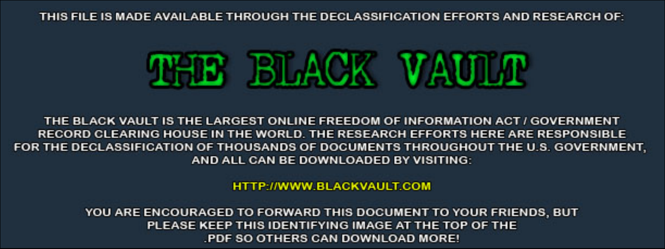THIS FILE IS MADE AVAILABLE THROUGH THE DECLASSIFICATION EFFORTS AND RESEARCH OF:



THE BLACK VAULT IS THE LARGEST ONLINE FREEDOM OF INFORMATION ACT / GOVERNMENT RECORD CLEARING HOUSE IN THE WORLD. THE RESEARCH EFFORTS HERE ARE RESPONSIBLE FOR THE DECLASSIFICATION OF THOUSANDS OF DOCUMENTS THROUGHOUT THE U.S. GOVERNMENT, AND ALL CAN BE DOWNLOADED BY VISITING:

**HTTP://WWW.BLACKVAULT.COM** 

YOU ARE ENCOURAGED TO FORWARD THIS DOCUMENT TO YOUR FRIENDS, BUT PLEASE KEEP THIS IDENTIFYING IMAGE AT THE TOP OF THE PDF SO OTHERS CAN DOWNLOAD MORE!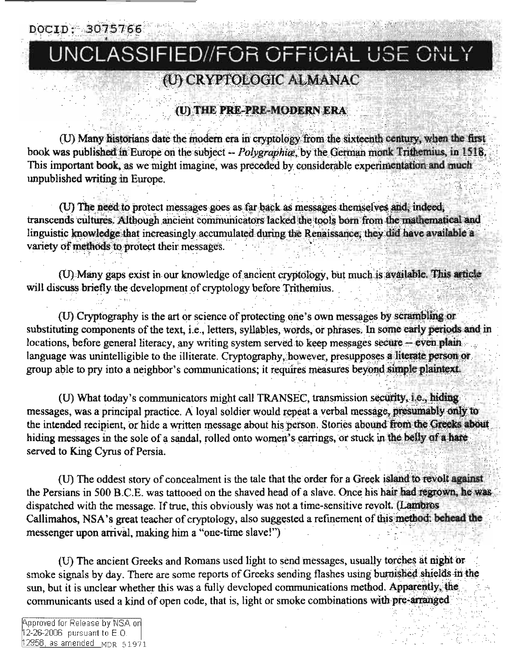## UNCLASSIFIED//FOR OFFICIAL USE ONLY

(U) CRYPTOLOGIC ALMANAC

(U) THE PRE-PRE-MODERN ERA

(U) Many historians date the modern era in cryptology from the sixteenth century, when the first book was published in Europe on the subject -- Polygraphia. by the German monk Trithemius, in 1518. This important book, as we might imagine, was preceded by considerable experimentation and much unpublished writing in Europe.

(U) The need to protect messages goes as far back as messages themselves and, indeed, transcends cultures. Although ancient communicators lacked the tools born from the mathematical and linguistic knowledge that increasingly accumulated during the Renaissance, they did have available a variety of methods to protect their messages.

(U) Many gaps exist in our knowledge of ancient cryptology, but much is available. This article will discuss briefly the development of cryptology before Trithemius.

(U) Cryptography is the art or science of protecting one's own messages by scrambling or substituting components of the text, i.e., letters, syllables, words, or phrases. In some early periods and in locations, before general literacy, any writing system served to keep messages secure -- even plain language was unintelligible to the illiterate. Cryptography, however, presupposes a literate person or group able to pry into a neighbor's communications; it requires measures beyond simple plaintext.

(U) What today's communicators might call TRANSEC, transmission security, i.e., hiding messages, was a principal practice. A loval soldier would repeat a verbal message, presumably only to the intended recipient, or hide a written message about his person. Stories abound from the Greeks about hiding messages in the sole of a sandal, rolled onto women's earrings, or stuck in the belly of a hare served to King Cyrus of Persia.

(U) The oddest story of concealment is the tale that the order for a Greek island to revolt against the Persians in 500 B.C.E. was tattooed on the shaved head of a slave. Once his hair had regrown, he was dispatched with the message. If true, this obviously was not a time-sensitive revolt. (Lambros Callimahos, NSA's great teacher of cryptology, also suggested a refinement of this method: behead the messenger upon arrival, making him a "one-time slave!")

(U) The ancient Greeks and Romans used light to send messages, usually torches at night or smoke signals by day. There are some reports of Greeks sending flashes using burnished shields in the sun, but it is unclear whether this was a fully developed communications method. Apparently, the communicants used a kind of open code, that is, light or smoke combinations with pre-arranged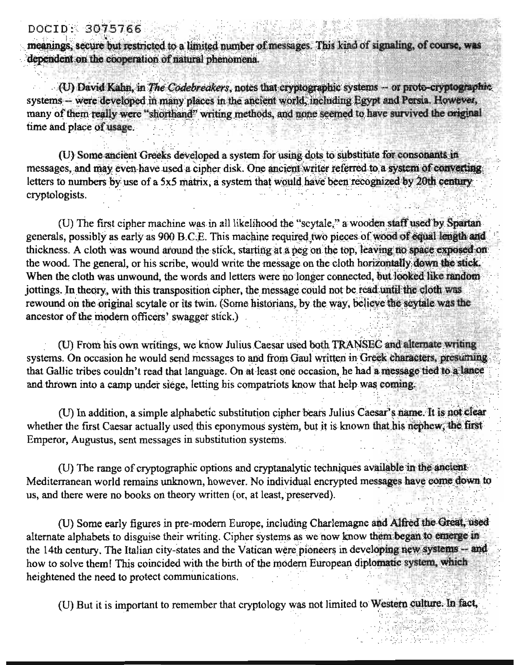meanings, secure but restricted to a limited number of messages. This kind of signaling, of course, was dependent on the cooperation of natural phenomena.

(U) David Kahn, in The Codebreakers, notes that cryptographic systems - or proto-cryptographic systems - were developed in many places in the ancient world, including Egypt and Persia. However, many of them really were "shorthand" writing methods, and none seemed to have survived the original time and place of usage.

(U) Some ancient Greeks developed a system for using dots to substitute for consonants in messages, and may even have used a cipher disk. One ancient writer referred to a system of converting letters to numbers by use of a 5x5 matrix, a system that would have been recognized by 20th century cryptologists.

(U) The first cipher machine was in all likelihood the "scytale," a wooden staff used by Spartan generals, possibly as early as 900 B.C.E. This machine required two pieces of wood of equal length and thickness. A cloth was wound around the stick, starting at a peg on the top, leaving no space exposed on the wood. The general, or his scribe, would write the message on the cloth horizontally down the stick. When the cloth was unwound, the words and letters were no longer connected, but looked like random jottings. In theory, with this transposition cipher, the message could not be read until the cloth was rewound on the original scytale or its twin. (Some historians, by the way, believe the scytale was the ancestor of the modern officers' swagger stick.)

(U) From his own writings, we know Julius Caesar used both TRANSEC and alternate writing systems. On occasion he would send messages to and from Gaul written in Greek characters, presuming that Gallic tribes couldn't read that language. On at least one occasion, he had a message tied to a lance and thrown into a camp under siege, letting his compatriots know that help was coming.

(U) In addition, a simple alphabetic substitution cipher bears Julius Caesar's name. It is not clear whether the first Caesar actually used this eponymous system, but it is known that his nephew, the first Emperor, Augustus, sent messages in substitution systems.

(U) The range of cryptographic options and cryptanalytic techniques available in the ancient Mediterranean world remains unknown, however. No individual encrypted messages have come down to us, and there were no books on theory written (or, at least, preserved).

(U) Some early figures in pre-modern Europe, including Charlemagne and Alfred the Great, used alternate alphabets to disguise their writing. Cipher systems as we now know them began to emerge in the 14th century. The Italian city-states and the Vatican were pioneers in developing new systems -- and how to solve them! This coincided with the birth of the modern European diplomatic system, which heightened the need to protect communications.

(U) But it is important to remember that cryptology was not limited to Western culture. In fact,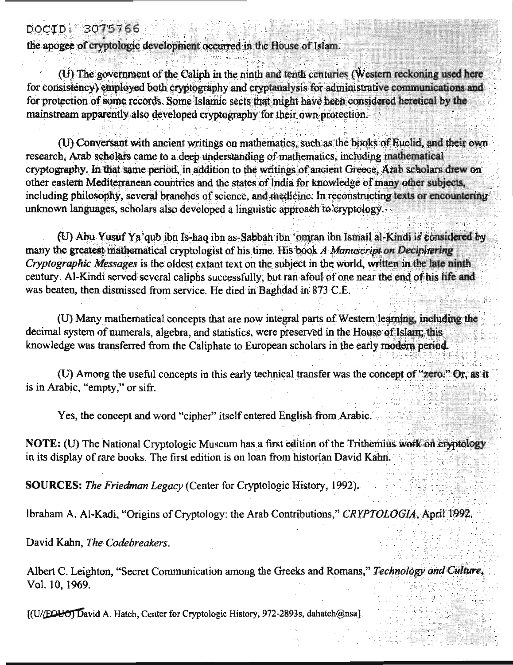the apogee of cryptologic development occurred in the House of Islam.

(U) The government of the Caliph in the ninth and tenth centuries (Western reckoning used here for consistency) employed both cryptography and cryptanalysis for administrative communications and for protection of some records. Some Islamic sects that might have been considered heretical by the mainstream apparently also developed cryptography for their own protection.

(U) Conversant with ancient writings on mathematics, such as the books of Euclid, and their own research, Arab scholars came to a deep understanding of mathematics, including mathematical cryptography. In that same period, in addition to the writings of ancient Greece, Arab scholars drew on other eastern Mediterranean countries and the states of India for knowledge of many other subjects, including philosophy, several branches of science, and medicine. In reconstructing texts or encountering unknown languages, scholars also developed a linguistic approach to cryptology.

(U) Abu Yusuf Ya'qub ibn Is-haq ibn as-Sabbah ibn 'omran ibn Ismail al-Kindi is considered by many the greatest mathematical cryptologist of his time. His book A Manuscript on Deciphering Cryptographic Messages is the oldest extant text on the subject in the world, written in the late ninth century. Al-Kindi served several caliphs successfully, but ran afoul of one near the end of his life and was beaten, then dismissed from service. He died in Baghdad in 873 C.E.

(U) Many mathematical concepts that are now integral parts of Western learning, including the decimal system of numerals, algebra, and statistics, were preserved in the House of Islam; this knowledge was transferred from the Caliphate to European scholars in the early modern period.

(U) Among the useful concepts in this early technical transfer was the concept of "zero," Or, as it is in Arabic, "empty," or sifr.

Yes, the concept and word "cipher" itself entered English from Arabic.

NOTE: (U) The National Cryptologic Museum has a first edition of the Trithemius work on cryptology in its display of rare books. The first edition is on loan from historian David Kahn.

**SOURCES:** The Friedman Legacy (Center for Cryptologic History, 1992).

Ibraham A. Al-Kadi, "Origins of Cryptology: the Arab Contributions," CRYPTOLOGIA, April 1992.

David Kahn, The Codebreakers.

Albert C. Leighton, "Secret Communication among the Greeks and Romans," Technology and Culture, Vol. 10, 1969.

[(U/EOUO) David A. Hatch, Center for Cryptologic History, 972-2893s, dahatch@nsa]